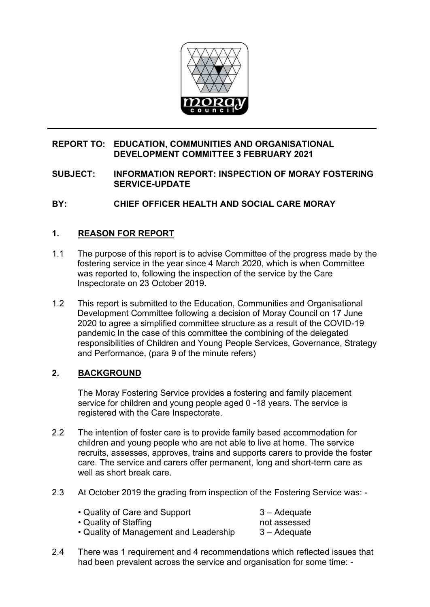

## **REPORT TO: EDUCATION, COMMUNITIES AND ORGANISATIONAL DEVELOPMENT COMMITTEE 3 FEBRUARY 2021**

## **SUBJECT: INFORMATION REPORT: INSPECTION OF MORAY FOSTERING SERVICE-UPDATE**

# **BY: CHIEF OFFICER HEALTH AND SOCIAL CARE MORAY**

## **1. REASON FOR REPORT**

- 1.1 The purpose of this report is to advise Committee of the progress made by the fostering service in the year since 4 March 2020, which is when Committee was reported to, following the inspection of the service by the Care Inspectorate on 23 October 2019.
- 1.2 This report is submitted to the Education, Communities and Organisational Development Committee following a decision of Moray Council on 17 June 2020 to agree a simplified committee structure as a result of the COVID-19 pandemic In the case of this committee the combining of the delegated responsibilities of Children and Young People Services, Governance, Strategy and Performance, (para 9 of the minute refers)

## **2. BACKGROUND**

The Moray Fostering Service provides a fostering and family placement service for children and young people aged 0 -18 years. The service is registered with the Care Inspectorate.

- 2.2 The intention of foster care is to provide family based accommodation for children and young people who are not able to live at home. The service recruits, assesses, approves, trains and supports carers to provide the foster care. The service and carers offer permanent, long and short-term care as well as short break care.
- 2.3 At October 2019 the grading from inspection of the Fostering Service was: -

| • Quality of Care and Support          | 3 – Adequate |
|----------------------------------------|--------------|
| • Quality of Staffing                  | not assessed |
| • Quality of Management and Leadership | 3 – Adequate |

2.4 There was 1 requirement and 4 recommendations which reflected issues that had been prevalent across the service and organisation for some time: -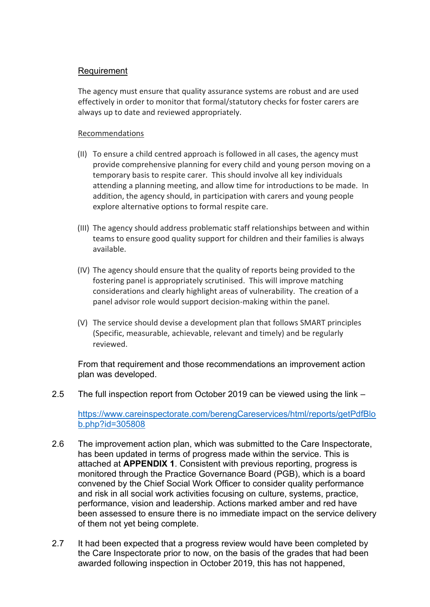## Requirement

The agency must ensure that quality assurance systems are robust and are used effectively in order to monitor that formal/statutory checks for foster carers are always up to date and reviewed appropriately.

### Recommendations

- (II) To ensure a child centred approach is followed in all cases, the agency must provide comprehensive planning for every child and young person moving on a temporary basis to respite carer. This should involve all key individuals attending a planning meeting, and allow time for introductions to be made. In addition, the agency should, in participation with carers and young people explore alternative options to formal respite care.
- (III) The agency should address problematic staff relationships between and within teams to ensure good quality support for children and their families is always available.
- (IV) The agency should ensure that the quality of reports being provided to the fostering panel is appropriately scrutinised. This will improve matching considerations and clearly highlight areas of vulnerability. The creation of a panel advisor role would support decision-making within the panel.
- (V) The service should devise a development plan that follows SMART principles (Specific, measurable, achievable, relevant and timely) and be regularly reviewed.

From that requirement and those recommendations an improvement action plan was developed.

2.5 The full inspection report from October 2019 can be viewed using the link –

[https://www.careinspectorate.com/berengCareservices/html/reports/getPdfBlo](https://www.careinspectorate.com/berengCareservices/html/reports/getPdfBlob.php?id=305808) [b.php?id=305808](https://www.careinspectorate.com/berengCareservices/html/reports/getPdfBlob.php?id=305808)

- 2.6 The improvement action plan, which was submitted to the Care Inspectorate, has been updated in terms of progress made within the service. This is attached at **APPENDIX 1**. Consistent with previous reporting, progress is monitored through the Practice Governance Board (PGB), which is a board convened by the Chief Social Work Officer to consider quality performance and risk in all social work activities focusing on culture, systems, practice, performance, vision and leadership. Actions marked amber and red have been assessed to ensure there is no immediate impact on the service delivery of them not yet being complete.
- 2.7 It had been expected that a progress review would have been completed by the Care Inspectorate prior to now, on the basis of the grades that had been awarded following inspection in October 2019, this has not happened,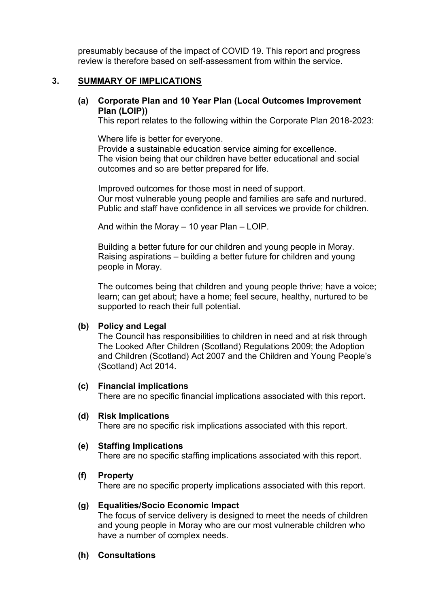presumably because of the impact of COVID 19. This report and progress review is therefore based on self-assessment from within the service.

### **3. SUMMARY OF IMPLICATIONS**

## **(a) Corporate Plan and 10 Year Plan (Local Outcomes Improvement Plan (LOIP))**

This report relates to the following within the Corporate Plan 2018-2023:

Where life is better for everyone. Provide a sustainable education service aiming for excellence. The vision being that our children have better educational and social outcomes and so are better prepared for life.

Improved outcomes for those most in need of support. Our most vulnerable young people and families are safe and nurtured. Public and staff have confidence in all services we provide for children.

And within the Moray – 10 year Plan – LOIP.

Building a better future for our children and young people in Moray. Raising aspirations – building a better future for children and young people in Moray.

The outcomes being that children and young people thrive; have a voice; learn; can get about; have a home; feel secure, healthy, nurtured to be supported to reach their full potential.

#### **(b) Policy and Legal**

The Council has responsibilities to children in need and at risk through The Looked After Children (Scotland) Regulations 2009; the Adoption and Children (Scotland) Act 2007 and the Children and Young People's (Scotland) Act 2014.

#### **(c) Financial implications**

There are no specific financial implications associated with this report.

#### **(d) Risk Implications**

There are no specific risk implications associated with this report.

#### **(e) Staffing Implications**

There are no specific staffing implications associated with this report.

#### **(f) Property**

There are no specific property implications associated with this report.

#### **(g) Equalities/Socio Economic Impact**

The focus of service delivery is designed to meet the needs of children and young people in Moray who are our most vulnerable children who have a number of complex needs.

## **(h) Consultations**